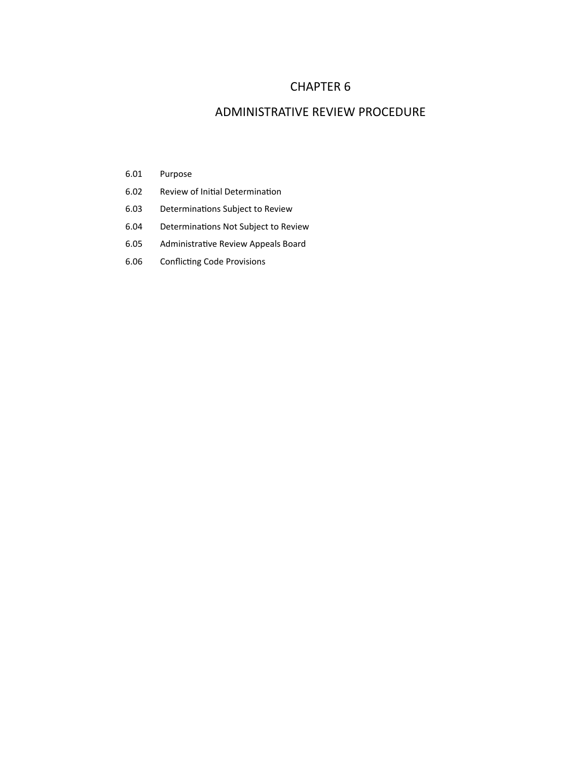## CHAPTER 6

## ADMINISTRATIVE REVIEW PROCEDURE

- 6.01 Purpose
- 6.02 Review of Initial Determination
- 6.03 Determinations Subject to Review
- 6.04 Determinations Not Subject to Review
- 6.05 Administrative Review Appeals Board
- 6.06 Conflicting Code Provisions